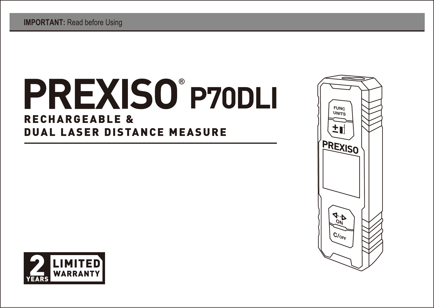# **P70DLI ®** RECHARGEABLE & DUAL LASER DISTANCE MEASURE



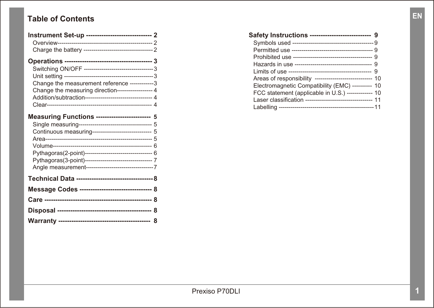### **Table of Contents**

| Instrument Set-up ------------------------------ 2                                                                                                                 |
|--------------------------------------------------------------------------------------------------------------------------------------------------------------------|
|                                                                                                                                                                    |
| Change the measurement reference -------------3<br>Change the measuring direction------------------ 4<br>Addition/subtraction----------------------------------- 4 |
| Measuring Functions ------------------------- 5<br>Continuous measuring------------------------------ 5                                                            |
|                                                                                                                                                                    |
| Message Codes --------------------------------- 8                                                                                                                  |
|                                                                                                                                                                    |
|                                                                                                                                                                    |
|                                                                                                                                                                    |

| Safety Instructions ----------------------------- 9        |  |
|------------------------------------------------------------|--|
|                                                            |  |
|                                                            |  |
|                                                            |  |
|                                                            |  |
|                                                            |  |
| Areas of responsibility ----------------------------- 10   |  |
| Electromagnetic Compatibility (EMC) ---------- 10          |  |
| FCC statement (applicable in U.S.) ------------- 10        |  |
| Laser classification ---------------------------------- 11 |  |
|                                                            |  |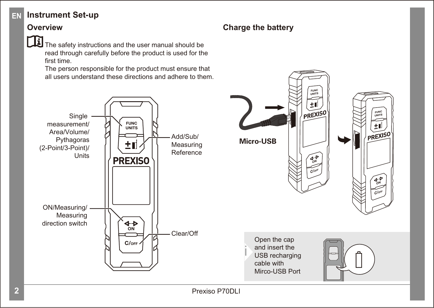#### **Instrument Set-up EN**

#### **Overview**



The safety instructions and the user manual should be read through carefully before the product is used for the first time.

The person responsible for the product must ensure that all users understand these directions and adhere to them.



#### **Charge the battery**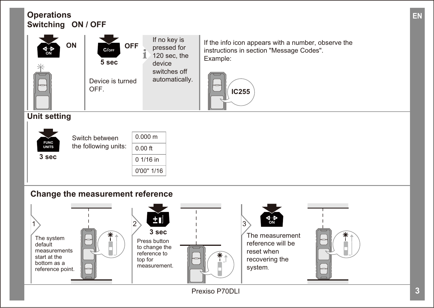

**EN**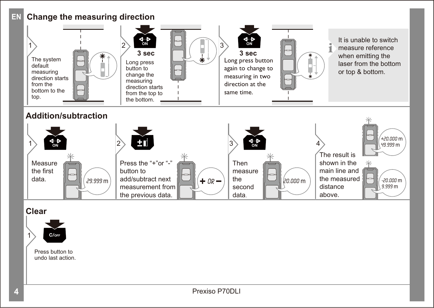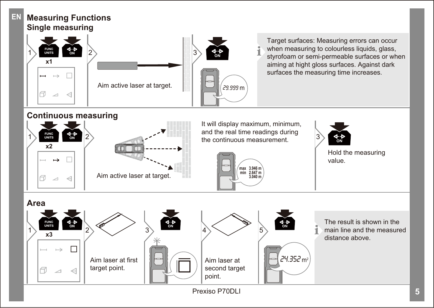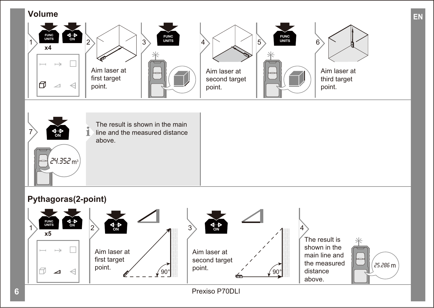#### **Volume**





### **Pythagoras(2-point)**



**6** Prexiso P70DLI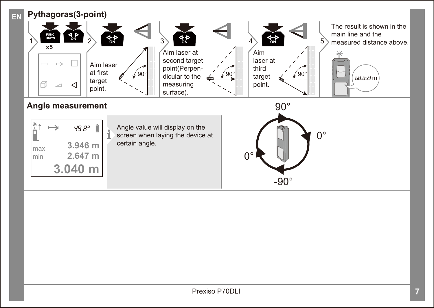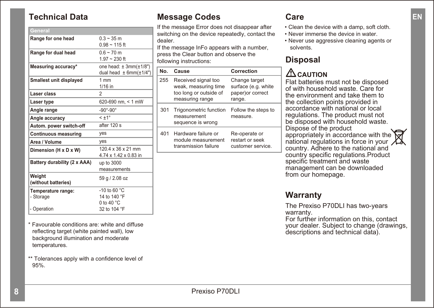### **Technical Data**

| General                        |                                  |
|--------------------------------|----------------------------------|
| Range for one head             | $0.3 - 35$ m                     |
|                                | $0.98 - 115$ ft                  |
| Range for dual head            | $0.6 - 70$ m                     |
|                                | $1.97 - 230$ ft                  |
| <b>Measuring accuracy*</b>     | one head: $\pm 3mm(\pm 1/8")$    |
|                                | dual head $\pm$ 6mm( $\pm$ 1/4") |
| <b>Smallest unit displayed</b> | 1mm                              |
|                                | 1/16 in                          |
| Laser class                    | $\overline{\phantom{a}}$         |
| Laser type                     | 620-690 nm, < 1 mW               |
| Angle range                    | $-90^\circ - 90^\circ$           |
| Angle accuracy                 | $< +1$ <sup>o</sup>              |
| Autom. power switch-off        | after 120 s                      |
| <b>Continuous measuring</b>    | yes                              |
| Area / Volume                  | yes                              |
| Dimension (H x D x W)          | 120.4 x 36 x 21 mm               |
|                                | 4.74 x 1.42 x 0.83 in            |
| Battery durability (2 x AAA)   | up to 3000                       |
|                                | measurements                     |
| Weight                         | 59 g / 2.08 oz                   |
| (without batteries)            |                                  |
| Temperature range:             | -10 to 60 $^{\circ}$ C           |
| - Storage                      | 14 to 140 °F                     |
|                                | 0 to 40 $°C$                     |
| - Operation                    | 32 to 104 °F                     |

\* Favourable conditions are: white and diffuse reflecting target (white painted wall), low background illumination and moderate temperatures.

\*\* Tolerances apply with a confidence level of 95%.

### **Message Codes**

If the message Error does not disappear after switching on the device repeatedly, contact the dealer.

If the message InFo appears with a number. press the Clear button and observe the following instructions:

| N٥  | Cause                                                                                    | Correction                                                         |
|-----|------------------------------------------------------------------------------------------|--------------------------------------------------------------------|
| 255 | Received signal too<br>weak, measuring time<br>too long or outside of<br>measuring range | Change target<br>surface (e.g. white<br>paper)or correct<br>range. |
| 301 | Trigonometric function<br>measurement<br>sequence is wrong                               | Follow the steps to<br>measure.                                    |
| 401 | Hardware failure or<br>module measurement<br>transmission failure                        | Re-operate or<br>restart or seek<br>customer service.              |

#### **Care**

- Clean the device with a damp, soft cloth.
- Never immerse the device in water.
- Never use aggressive cleaning agents or solvents.

### **Disposal**

# **CAUTION**

Flat batteries must not be disposed of with household waste. Care for the environment and take them to the collection points provided in accordance with national or local regulations. The product must not be disposed with household waste. Dispose of the product appropriately in accordance with the national requilations in force in your  $\chi$ country. Adhere to the national and country specific regulations.Product specific treatment and waste management can be downloaded from our homepage.

### **Warranty**

The Prexiso P70DLI has two-years warranty.

For further information on this, contact your dealer. Subject to change (drawings, descriptions and technical data).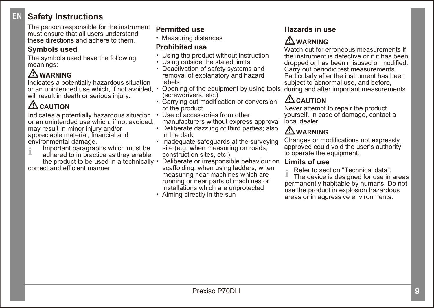#### **Safety Instructions EN**

The person responsible for the instrument must ensure that all users understand these directions and adhere to them.

#### **Symbols used**

The symbols used have the following meanings:

## **WARNING**

Indicates a potentially hazardous situation or an unintended use which, if not avoided, • Opening of the equipment by using tools will result in death or serious injury.

# **ACAUTION**

Indicates a potentially hazardous situation or an unintended use which, if not avoided, may result in minor injury and/or appreciable material, financial and environmental damage.

- Important paragraphs which must be **i**
- adhered to in practice as they enable the product to be used in a technically

correct and efficient manner.

#### **Permitted use**

• Measuring distances

#### **Prohibited use**

- Using the product without instruction
- Using outside the stated limits
- Deactivation of safety systems and removal of explanatory and hazard labels
- (screwdrivers, etc.)
- Carrying out modification or conversion of the product
- Use of accessories from other manufacturers without express approval
- Deliberate dazzling of third parties; also in the dark
- Inadequate safeguards at the surveying site (e.g. when measuring on roads. construction sites, etc.)
- Deliberate or irresponsible behaviour on scaffolding, when using ladders, when measuring near machines which are running or near parts of machines or installations which are unprotected
- Aiming directly in the sun

#### **Hazards in use**

# **WARNING**

Watch out for erroneous measurements if the instrument is defective or if it has been dropped or has been misused or modified. Carry out periodic test measurements. Particularly after the instrument has been subject to abnormal use, and before. during and after important measurements.

# **CAUTION**

Never attempt to repair the product yourself. In case of damage, contact a local dealer.

# **WARNING**

Changes or modifications not expressly approved could void the user's authority to operate the equipment.

#### **Limits of use**

Refer to section "Technical data".

 The device is designed for use in areas permanently habitable by humans. Do not use the product in explosion hazardous areas or in aggressive environments. **i**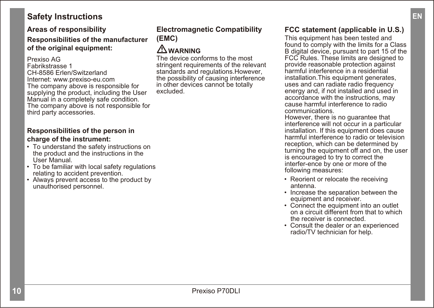#### **Safety Instructions**

#### **Areas of responsibility**

#### **Responsibilities of the manufacturer of the original equipment:**

Prexiso AG Fabrikstrasse 1 CH-8586 Erlen/Switzerland Internet: www.prexiso-eu.com The company above is responsible for supplying the product, including the User Manual in a completely safe condition. The company above is not responsible for third party accessories.

#### **Responsibilities of the person in charge of the instrument:**

- To understand the safety instructions on the product and the instructions in the User Manual.
- To be familiar with local safety regulations relating to accident prevention.
- Always prevent access to the product by unauthorised personnel.

#### **Electromagnetic Compatibility (EMC)**

### **WARNING**

The device conforms to the most stringent requirements of the relevant standards and regulations.However, the possibility of causing interference in other devices cannot be totally excluded.

### **FCC statement (applicable in U.S.)**

This equipment has been tested and found to comply with the limits for a Class B digital device, pursuant to part 15 of the FCC Rules. These limits are designed to provide reasonable protection against harmful interference in a residential installation. This equipment generates, uses and can radiate radio frequency energy and if not installed and used in accordance with the instructions, may cause harmful interference to radio communications.

However, there is no guarantee that interference will not occur in a particular installation. If this equipment does cause harmful interference to radio or television reception, which can be determined by turning the equipment off and on, the user is encouraged to try to correct the interfer-ence by one or more of the following measures:

- Reorient or relocate the receiving antenna.
- Increase the separation between the equipment and receiver.
- Connect the equipment into an outlet on a circuit different from that to which the receiver is connected.
- Consult the dealer or an experienced radio/TV technician for help.